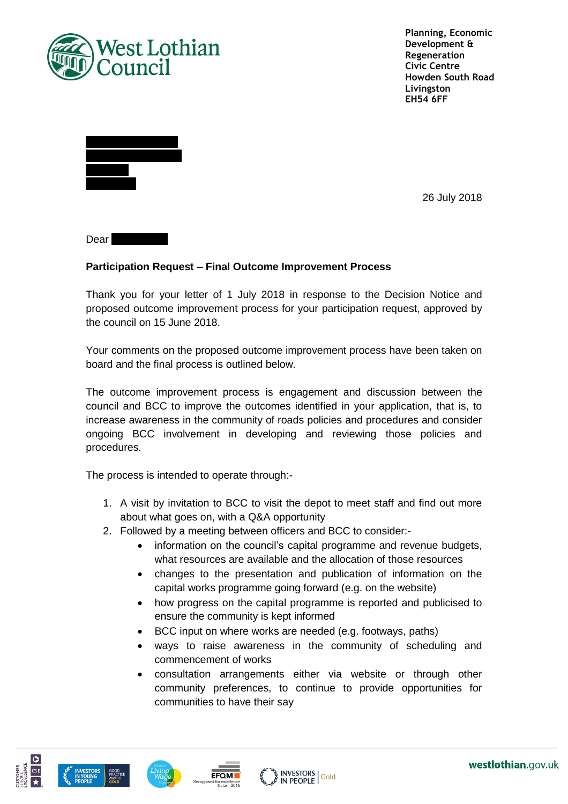

**Planning, Economic Development & Regeneration Civic Centre Howden South Road Livingston EH54 6FF**

26 July 2018

 $Dear$ 

## **Participation Request – Final Outcome Improvement Process**

Thank you for your letter of 1 July 2018 in response to the Decision Notice and proposed outcome improvement process for your participation request, approved by the council on 15 June 2018.

Your comments on the proposed outcome improvement process have been taken on board and the final process is outlined below.

The outcome improvement process is engagement and discussion between the council and BCC to improve the outcomes identified in your application, that is, to increase awareness in the community of roads policies and procedures and consider ongoing BCC involvement in developing and reviewing those policies and procedures.

The process is intended to operate through:-

- 1. A visit by invitation to BCC to visit the depot to meet staff and find out more about what goes on, with a Q&A opportunity
- 2. Followed by a meeting between officers and BCC to consider:
	- information on the council's capital programme and revenue budgets, what resources are available and the allocation of those resources
	- changes to the presentation and publication of information on the capital works programme going forward (e.g. on the website)
	- how progress on the capital programme is reported and publicised to ensure the community is kept informed
	- BCC input on where works are needed (e.g. footways, paths)
	- ways to raise awareness in the community of scheduling and commencement of works
	- consultation arrangements either via website or through other community preferences, to continue to provide opportunities for communities to have their say